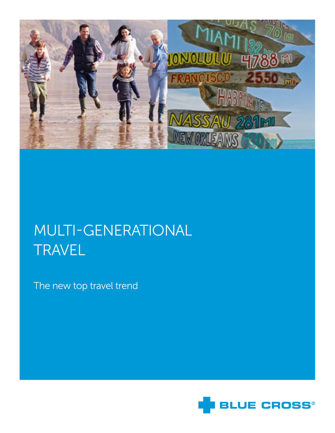

# Multi-generational **TRAVEL**

The new top travel trend

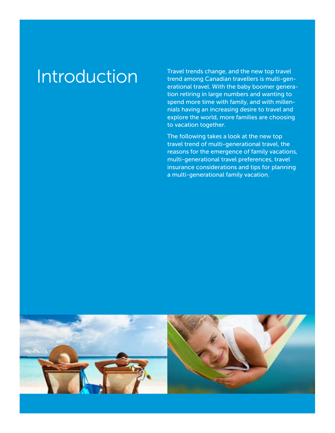Introduction Travel trends change, and the new top travel trend among Canadian travellers is multi-generational travel. With the baby boomer generation retiring in large numbers and wanting to spend more time with family, and with millennials having an increasing desire to travel and explore the world, more families are choosing to vacation together.

> The following takes a look at the new top travel trend of multi-generational travel, the reasons for the emergence of family vacations, multi-generational travel preferences, travel insurance considerations and tips for planning a multi-generational family vacation.

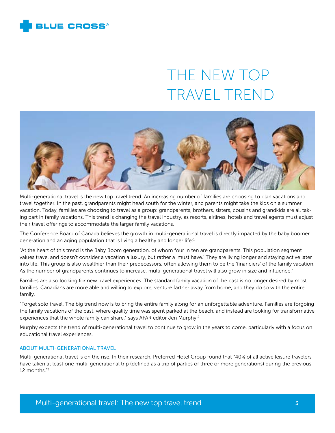

# The new top travel trend



Multi-generational travel is the new top travel trend. An increasing number of families are choosing to plan vacations and travel together. In the past, grandparents might head south for the winter, and parents might take the kids on a summer vacation. Today, families are choosing to travel as a group: grandparents, brothers, sisters, cousins and grandkids are all taking part in family vacations. This trend is changing the travel industry, as resorts, airlines, hotels and travel agents must adjust their travel offerings to accommodate the larger family vacations.

The Conference Board of Canada believes the growth in multi-generational travel is directly impacted by the baby boomer generation and an aging population that is living a healthy and longer life:<sup>1</sup>

"At the heart of this trend is the Baby Boom generation, of whom four in ten are grandparents. This population segment values travel and doesn't consider a vacation a luxury, but rather a 'must have.' They are living longer and staying active later into life. This group is also wealthier than their predecessors, often allowing them to be the 'financiers' of the family vacation. As the number of grandparents continues to increase, multi-generational travel will also grow in size and influence."

Families are also looking for new travel experiences. The standard family vacation of the past is no longer desired by most families. Canadians are more able and willing to explore, venture farther away from home, and they do so with the entire family.

"Forget solo travel. The big trend now is to bring the entire family along for an unforgettable adventure. Families are forgoing the family vacations of the past, where quality time was spent parked at the beach, and instead are looking for transformative experiences that the whole family can share," says AFAR editor Jen Murphy.<sup>2</sup>

Murphy expects the trend of multi-generational travel to continue to grow in the years to come, particularly with a focus on educational travel experiences.

# About multi-generational travel

Multi-generational travel is on the rise. In their research, Preferred Hotel Group found that "40% of all active leisure travelers have taken at least one multi-generational trip (defined as a trip of parties of three or more generations) during the previous 12 months."3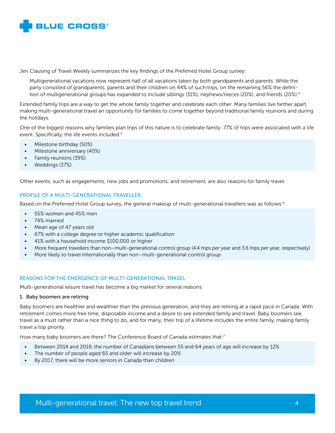

Jeri Clausing of Travel Weekly summarizes the key findings of the Preferred Hotel Group survey:

Multigenerational vacations now represent half of all vacations taken by both grandparents and parents. While the party consisted of grandparents, parents and their children on 44% of such trips, on the remaining 56% the definition of multigenerational groups has expanded to include siblings (31%), nephews/nieces (20%), and friends (20%).<sup>4</sup>

Extended family trips are a way to get the whole family together and celebrate each other. Many families live farther apart, making multi-generational travel an opportunity for families to come together beyond traditional family reunions and during the holidays.

One of the biggest reasons why families plan trips of this nature is to celebrate family: 77% of trips were associated with a life event. Specifically, the life events included:<sup>5</sup>

- Milestone birthday (50%)
- Milestone anniversary (40%)
- Family reunions (39%)
- • Weddings (37%)

Other events, such as engagements, new jobs and promotions, and retirement, are also reasons for family travel.

# Profile of a multi-generational traveller

Based on the Preferred Hotel Group survey, the general makeup of multi-generational travellers was as follows:<sup>6</sup>

- 55% women and 45% men
- 74% married
- Mean age of 47 years old
- • 67% with a college degree or higher academic qualification
- 41% with a household income \$100,000 or higher
- More frequent travellers than non–multi-generational control group (4.4 trips per year and 3.6 trips per year, respectively)
- More likely to travel internationally than non–multi-generational control group

# Reasons for the emergence of multi-generational travel

Multi-generational leisure travel has become a big market for several reasons:

### 1. Baby boomers are retiring

Baby boomers are healthier and wealthier than the previous generation, and they are retiring at a rapid pace in Canada. With retirement comes more free time, disposable income and a desire to see extended family and travel. Baby boomers see travel as a must rather than a nice thing to do, and for many, their trip of a lifetime includes the entire family, making family travel a top priority.

How many baby boomers are there? The Conference Board of Canada estimates that:<sup>7</sup>

- • Between 2014 and 2019, the number of Canadians between 55 and 64 years of age will increase by 12%
- The number of people aged 65 and older will increase by 20%
- • By 2017, there will be more seniors in Canada than children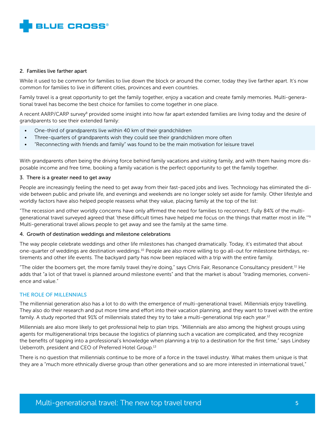

### 2. Families live farther apart

While it used to be common for families to live down the block or around the corner, today they live farther apart. It's now common for families to live in different cities, provinces and even countries.

Family travel is a great opportunity to get the family together, enjoy a vacation and create family memories. Multi-generational travel has become the best choice for families to come together in one place.

A recent AARP/CARP survey<sup>8</sup> provided some insight into how far apart extended families are living today and the desire of grandparents to see their extended family:

- One-third of grandparents live within 40 km of their grandchildren
- Three-quarters of grandparents wish they could see their grandchildren more often
- • "Reconnecting with friends and family" was found to be the main motivation for leisure travel

With grandparents often being the driving force behind family vacations and visiting family, and with them having more disposable income and free time, booking a family vacation is the perfect opportunity to get the family together.

# 3. There is a greater need to get away

People are increasingly feeling the need to get away from their fast-paced jobs and lives. Technology has eliminated the divide between public and private life, and evenings and weekends are no longer solely set aside for family. Other lifestyle and worldly factors have also helped people reassess what they value, placing family at the top of the list:

"The recession and other worldly concerns have only affirmed the need for families to reconnect. Fully 84% of the multigenerational travel surveyed agreed that 'these difficult times have helped me focus on the things that matter most in life.'"9 Multi-generational travel allows people to get away and see the family at the same time.

# 4. Growth of destination weddings and milestone celebrations

The way people celebrate weddings and other life milestones has changed dramatically. Today, it's estimated that about one-quarter of weddings are destination weddings.10 People are also more willing to go all-out for milestone birthdays, retirements and other life events. The backyard party has now been replaced with a trip with the entire family.

"The older the boomers get, the more family travel they're doing," says Chris Fair, Resonance Consultancy president.<sup>11</sup> He adds that "a lot of that travel is planned around milestone events" and that the market is about "trading memories, convenience and value."

#### The role of millennials

The millennial generation also has a lot to do with the emergence of multi-generational travel. Millennials enjoy travelling. They also do their research and put more time and effort into their vacation planning, and they want to travel with the entire family. A study reported that 91% of millennials stated they try to take a multi-generational trip each year.<sup>12</sup>

Millennials are also more likely to get professional help to plan trips. "Millennials are also among the highest groups using agents for multigenerational trips because the logistics of planning such a vacation are complicated, and they recognize the benefits of tapping into a professional's knowledge when planning a trip to a destination for the first time," says Lindsey Ueberroth, president and CEO of Preferred Hotel Group.13

There is no question that millennials continue to be more of a force in the travel industry. What makes them unique is that they are a "much more ethnically diverse group than other generations and so are more interested in international travel,"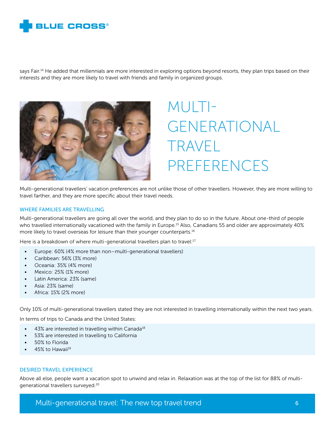

says Fair.<sup>14</sup> He added that millennials are more interested in exploring options beyond resorts, they plan trips based on their interests and they are more likely to travel with friends and family in organized groups.



# Multigenerational travel preferences

Multi-generational travellers' vacation preferences are not unlike those of other travellers. However, they are more willing to travel farther, and they are more specific about their travel needs.

#### Where families are travelling

Multi-generational travellers are going all over the world, and they plan to do so in the future. About one-third of people who travelled internationally vacationed with the family in Europe.15 Also, Canadians 55 and older are approximately 40% more likely to travel overseas for leisure than their younger counterparts.16

Here is a breakdown of where multi-generational travellers plan to travel:<sup>17</sup>

- Europe: 60% (4% more than non–multi-generational travellers)
- • Caribbean: 56% (3% more)
- Oceania: 35% (4% more)
- Mexico: 25% (1% more)
- • Latin America: 23% (same)
- Asia: 23% (same)
- Africa: 15% (2% more)

Only 10% of multi-generational travellers stated they are not interested in travelling internationally within the next two years.

In terms of trips to Canada and the United States:

- $\bullet$  43% are interested in travelling within Canada<sup>18</sup>
- • 53% are interested in travelling to California
- 50% to Florida
- 45% to Hawaii<sup>19</sup>

# Desired travel experience

Above all else, people want a vacation spot to unwind and relax in. Relaxation was at the top of the list for 88% of multigenerational travellers surveyed.20

Multi-generational travel: The new top travel trend 6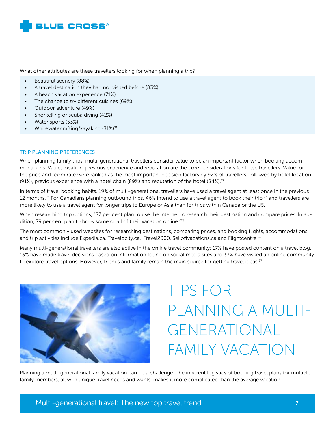

What other attributes are these travellers looking for when planning a trip?

- Beautiful scenery (88%)
- • A travel destination they had not visited before (83%)
- A beach vacation experience (71%)
- The chance to try different cuisines (69%)
- Outdoor adventure (49%)
- Snorkelling or scuba diving (42%)
- • Water sports (33%)
- Whitewater rafting/kayaking (31%)<sup>21</sup>

# Trip planning preferences

When planning family trips, multi-generational travellers consider value to be an important factor when booking accommodations. Value, location, previous experience and reputation are the core considerations for these travellers. Value for the price and room rate were ranked as the most important decision factors by 92% of travellers, followed by hotel location (91%), previous experience with a hotel chain (89%) and reputation of the hotel  $(84%)$ .<sup>22</sup>

In terms of travel booking habits, 19% of multi-generational travellers have used a travel agent at least once in the previous 12 months.<sup>23</sup> For Canadians planning outbound trips, 46% intend to use a travel agent to book their trip,<sup>24</sup> and travellers are more likely to use a travel agent for longer trips to Europe or Asia than for trips within Canada or the US.

When researching trip options, "87 per cent plan to use the internet to research their destination and compare prices. In addition, 79 per cent plan to book some or all of their vacation online."25

The most commonly used websites for researching destinations, comparing prices, and booking flights, accommodations and trip activities include Expedia.ca, Travelocity.ca, iTravel2000, Selloffvacations.ca and Flightcentre.<sup>26</sup>

Many multi-generational travellers are also active in the online travel community: 17% have posted content on a travel blog, 13% have made travel decisions based on information found on social media sites and 37% have visited an online community to explore travel options. However, friends and family remain the main source for getting travel ideas.<sup>27</sup>



Tips for planning a multigenerational family vacation

Planning a multi-generational family vacation can be a challenge. The inherent logistics of booking travel plans for multiple family members, all with unique travel needs and wants, makes it more complicated than the average vacation.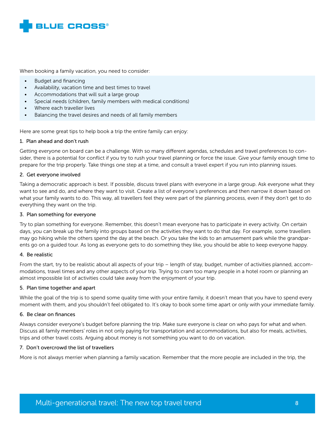

When booking a family vacation, you need to consider:

- **Budget and financing**
- • Availability, vacation time and best times to travel
- Accommodations that will suit a large group
- Special needs (children, family members with medical conditions)
- Where each traveller lives
- • Balancing the travel desires and needs of all family members

Here are some great tips to help book a trip the entire family can enjoy:

# 1. Plan ahead and don't rush

Getting everyone on board can be a challenge. With so many different agendas, schedules and travel preferences to consider, there is a potential for conflict if you try to rush your travel planning or force the issue. Give your family enough time to prepare for the trip properly. Take things one step at a time, and consult a travel expert if you run into planning issues.

# 2. Get everyone involved

Taking a democratic approach is best. If possible, discuss travel plans with everyone in a large group. Ask everyone what they want to see and do, and where they want to visit. Create a list of everyone's preferences and then narrow it down based on what your family wants to do. This way, all travellers feel they were part of the planning process, even if they don't get to do everything they want on the trip.

# 3. Plan something for everyone

Try to plan something for everyone. Remember, this doesn't mean everyone has to participate in every activity. On certain days, you can break up the family into groups based on the activities they want to do that day. For example, some travellers may go hiking while the others spend the day at the beach. Or you take the kids to an amusement park while the grandparents go on a guided tour. As long as everyone gets to do something they like, you should be able to keep everyone happy.

#### 4. Be realistic

From the start, try to be realistic about all aspects of your trip – length of stay, budget, number of activities planned, accommodations, travel times and any other aspects of your trip. Trying to cram too many people in a hotel room or planning an almost impossible list of activities could take away from the enjoyment of your trip.

#### 5. Plan time together and apart

While the goal of the trip is to spend some quality time with your entire family, it doesn't mean that you have to spend every moment with them, and you shouldn't feel obligated to. It's okay to book some time apart or only with your immediate family.

#### 6. Be clear on finances

Always consider everyone's budget before planning the trip. Make sure everyone is clear on who pays for what and when. Discuss all family members' roles in not only paying for transportation and accommodations, but also for meals, activities, trips and other travel costs. Arguing about money is not something you want to do on vacation.

#### 7. Don't overcrowd the list of travellers

More is not always merrier when planning a family vacation. Remember that the more people are included in the trip, the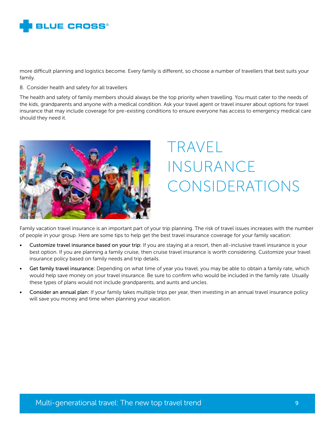

more difficult planning and logistics become. Every family is different, so choose a number of travellers that best suits your family.

### 8. Consider health and safety for all travellers

The health and safety of family members should always be the top priority when travelling. You must cater to the needs of the kids, grandparents and anyone with a medical condition. Ask your travel agent or travel insurer about options for travel insurance that may include coverage for pre-existing conditions to ensure everyone has access to emergency medical care should they need it.



# Travel **INSURANCE** considerations

Family vacation travel insurance is an important part of your trip planning. The risk of travel issues increases with the number of people in your group. Here are some tips to help get the best travel insurance coverage for your family vacation:

- Customize travel insurance based on your trip: If you are staying at a resort, then all-inclusive travel insurance is your best option. If you are planning a family cruise, then cruise travel insurance is worth considering. Customize your travel insurance policy based on family needs and trip details.
- Get family travel insurance: Depending on what time of year you travel, you may be able to obtain a family rate, which would help save money on your travel insurance. Be sure to confirm who would be included in the family rate. Usually these types of plans would not include grandparents, and aunts and uncles.
- Consider an annual plan: If your family takes multiple trips per year, then investing in an annual travel insurance policy will save you money and time when planning your vacation.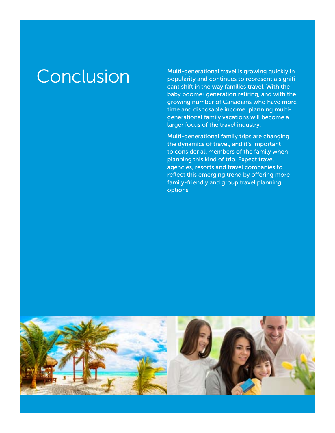Conclusion Multi-generational travel is growing quickly in<br>
popularity and continues to represent a signifipopularity and continues to represent a significant shift in the way families travel. With the baby boomer generation retiring, and with the growing number of Canadians who have more time and disposable income, planning multigenerational family vacations will become a larger focus of the travel industry.

> Multi-generational family trips are changing the dynamics of travel, and it's important to consider all members of the family when planning this kind of trip. Expect travel agencies, resorts and travel companies to reflect this emerging trend by offering more family-friendly and group travel planning options.